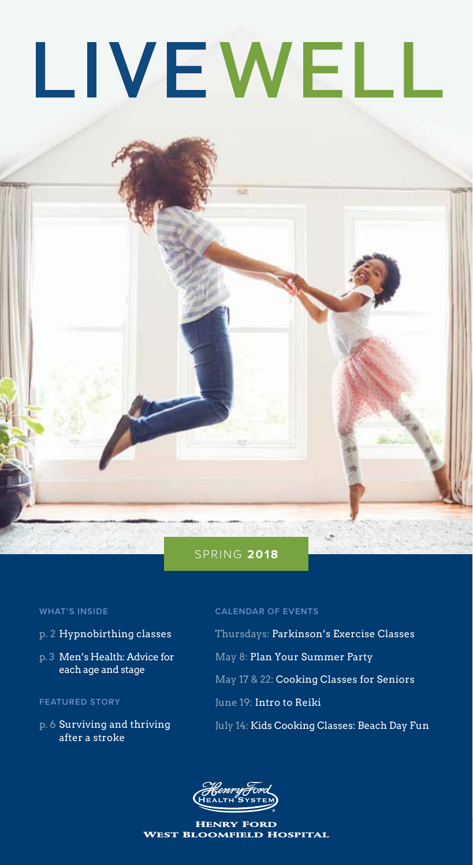# LIVEWELL

#### SPRING **2018**

#### **WHAT'S INSIDE**

- p. 2 Hypnobirthing classes
- p. 3 Men's Health: Advice for each age and stage

#### **FEATURED STORY**

p. 6 Surviving and thriving after a stroke

#### **CALENDAR OF EVENTS**

- Thursdays: Parkinson's Exercise Classes
- May 8: Plan Your Summer Party
- May 17 & 22: Cooking Classes for Seniors
- June 19: Intro to Reiki
- July 14: Kids Cooking Classes: Beach Day Fun



Henry Ford West Bloomfield Hospital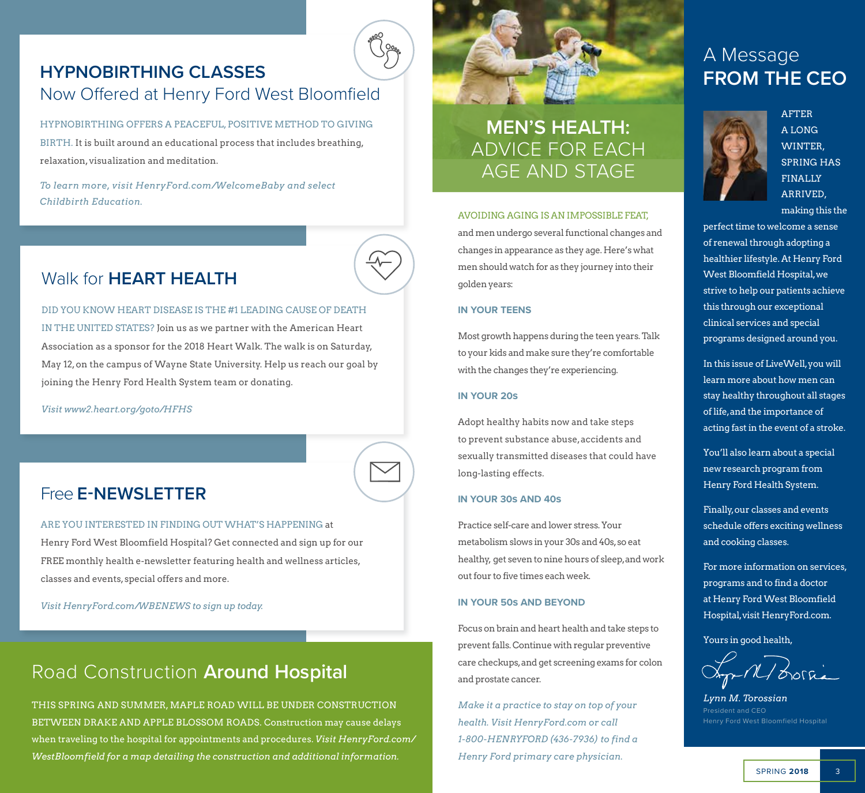# **HYPNOBIRTHING CLASSES** Now Offered at Henry Ford West Bloomfield

HYPNOBIRTHING OFFERS A PEACEFUL, POSITIVE METHOD TO GIVING BIRTH. It is built around an educational process that includes breathing, relaxation, visualization and meditation.

*To learn more, visit HenryFord.com/WelcomeBaby and select Childbirth Education.*



# Walk for **HEART HEALTH**

#### DID YOU KNOW HEART DISEASE IS THE #1 LEADING CAUSE OF DEATH

IN THE UNITED STATES? Join us as we partner with the American Heart Association as a sponsor for the 2018 Heart Walk. The walk is on Saturday, May 12, on the campus of Wayne State University. Help us reach our goal by joining the Henry Ford Health System team or donating.

*Visit www2.heart.org/goto/HFHS*

# Free **E-NEWSLETTER**

ARE YOU INTERESTED IN FINDING OUT WHAT'S HAPPENING at Henry Ford West Bloomfield Hospital? Get connected and sign up for our FREE monthly health e-newsletter featuring health and wellness articles, classes and events, special offers and more.

*Visit HenryFord.com/WBENEWS to sign up today.*

# Road Construction **Around Hospital**

THIS SPRING AND SUMMER, MAPLE ROAD WILL BE UNDER CONSTRUCTION BETWEEN DRAKE AND APPLE BLOSSOM ROADS. Construction may cause delays when traveling to the hospital for appointments and procedures. *Visit HenryFord.com/ WestBloomfield for a map detailing the construction and additional information.*



# **MEN'S HEALTH:**  ADVICE FOR EACH AGE AND STAGE

#### AVOIDING AGING IS AN IMPOSSIBLE FEAT,

and men undergo several functional changes and changes in appearance as they age. Here's what men should watch for as they journey into their golden years:

#### **IN YOUR TEENS**

Most growth happens during the teen years. Talk to your kids and make sure they're comfortable with the changes they're experiencing.

#### **IN YOUR 20s**

Adopt healthy habits now and take steps to prevent substance abuse, accidents and sexually transmitted diseases that could have long-lasting effects.

#### **IN YOUR 30s AND 40s**

Practice self-care and lower stress. Your metabolism slows in your 30s and 40s, so eat healthy, get seven to nine hours of sleep, and work out four to five times each week.

#### **IN YOUR 50s AND BEYOND**

Focus on brain and heart health and take steps to prevent falls. Continue with regular preventive care checkups, and get screening exams for colon and prostate cancer.

*Make it a practice to stay on top of your health. Visit HenryFord.com or call 1-800-HENRYFORD (436-7936) to find a Henry Ford primary care physician.* 

# A Message **FROM THE CEO**



AFTER A LONG WINTER, SPRING HAS FINALLY ARRIVED, making this the

perfect time to welcome a sense of renewal through adopting a healthier lifestyle. At Henry Ford West Bloomfield Hospital, we strive to help our patients achieve this through our exceptional clinical services and special programs designed around you.

In this issue of LiveWell, you will learn more about how men can stay healthy throughout all stages of life, and the importance of acting fast in the event of a stroke.

You'll also learn about a special new research program from Henry Ford Health System.

Finally, our classes and events schedule offers exciting wellness and cooking classes.

For more information on services, programs and to find a doctor at Henry Ford West Bloomfield Hospital, visit HenryFord.com.

Yours in good health,

-M/ Lorria

*Lynn M. Torossian* President and CEO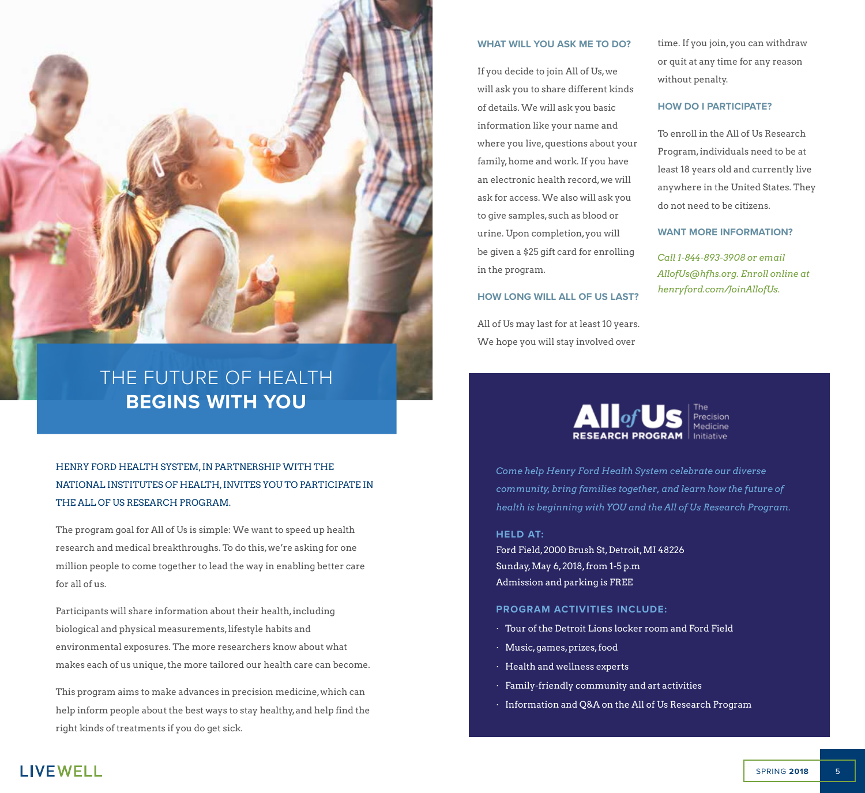

# THE FUTURE OF HEALTH **BEGINS WITH YOU**

HENRY FORD HEALTH SYSTEM, IN PARTNERSHIP WITH THE NATIONAL INSTITUTES OF HEALTH, INVITES YOU TO PARTICIPATE IN THE ALL OF US RESEARCH PROGRAM.

The program goal for All of Us is simple: We want to speed up health research and medical breakthroughs. To do this, we're asking for one million people to come together to lead the way in enabling better care for all of us.

Participants will share information about their health, including biological and physical measurements, lifestyle habits and environmental exposures. The more researchers know about what makes each of us unique, the more tailored our health care can become.

This program aims to make advances in precision medicine, which can help inform people about the best ways to stay healthy, and help find the right kinds of treatments if you do get sick.

#### **WHAT WILL YOU ASK ME TO DO?**

If you decide to join All of Us, we will ask you to share different kinds of details. We will ask you basic information like your name and where you live, questions about your family, home and work. If you have an electronic health record, we will ask for access. We also will ask you to give samples, such as blood or urine. Upon completion, you will be given a \$25 gift card for enrolling in the program.

#### **HOW LONG WILL ALL OF US LAST?**

All of Us may last for at least 10 years. We hope you will stay involved over

time. If you join, you can withdraw or quit at any time for any reason without penalty.

#### **HOW DO I PARTICIPATE?**

To enroll in the All of Us Research Program, individuals need to be at least 18 years old and currently live anywhere in the United States. They do not need to be citizens.

**WANT MORE INFORMATION?**

*Call 1-844-893-3908 or email AllofUs@hfhs.org. Enroll online at henryford.com/JoinAllofUs.*



*Come help Henry Ford Health System celebrate our diverse community, bring families together, and learn how the future of health is beginning with YOU and the All of Us Research Program.*

**HELD AT:**

Ford Field, 2000 Brush St, Detroit, MI 48226 Sunday, May 6, 2018, from 1-5 p.m Admission and parking is FREE

#### **PROGRAM ACTIVITIES INCLUDE:**

- · Tour of the Detroit Lions locker room and Ford Field
- · Music, games, prizes, food
- · Health and wellness experts
- · Family-friendly community and art activities
- · Information and Q&A on the All of Us Research Program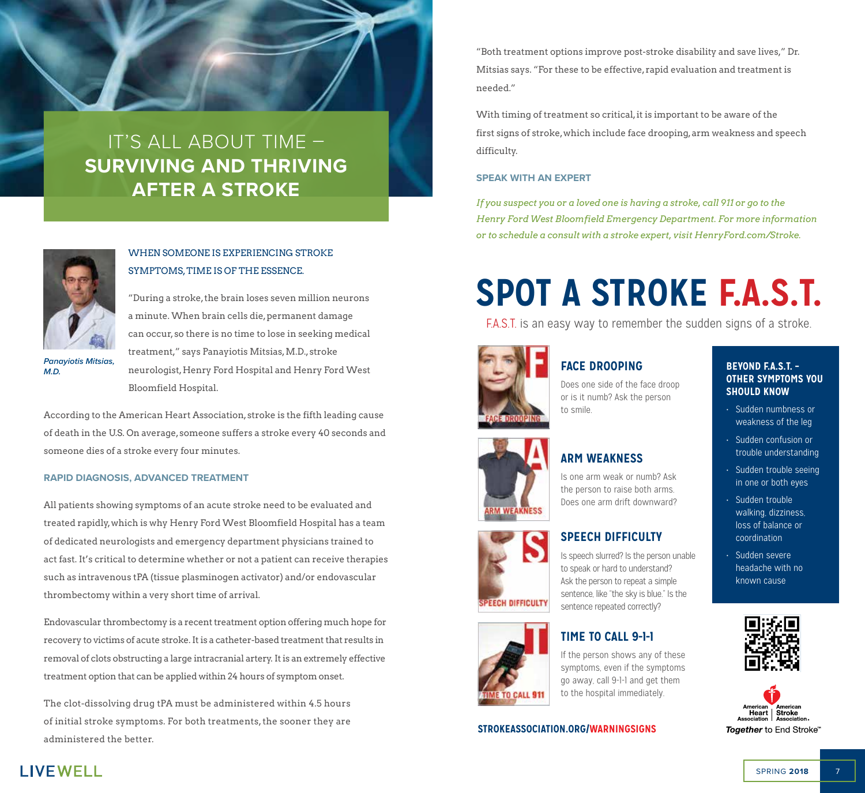# IT'S ALL ABOUT TIME – **SURVIVING AND THRIVING AFTER A STROKE**



*Panayiotis Mitsias,* 

*M.D.*

#### WHEN SOMEONE IS EXPERIENCING STROKE SYMPTOMS, TIME IS OF THE ESSENCE.

"During a stroke, the brain loses seven million neurons a minute. When brain cells die, permanent damage can occur, so there is no time to lose in seeking medical treatment," says Panayiotis Mitsias, M.D., stroke neurologist, Henry Ford Hospital and Henry Ford West Bloomfield Hospital.

According to the American Heart Association, stroke is the fifth leading cause of death in the U.S. On average, someone suffers a stroke every 40 seconds and someone dies of a stroke every four minutes.

#### **RAPID DIAGNOSIS, ADVANCED TREATMENT**

All patients showing symptoms of an acute stroke need to be evaluated and treated rapidly, which is why Henry Ford West Bloomfield Hospital has a team of dedicated neurologists and emergency department physicians trained to act fast. It's critical to determine whether or not a patient can receive therapies such as intravenous tPA (tissue plasminogen activator) and/or endovascular thrombectomy within a very short time of arrival. **ARM WEAKNESS**

Endovascular thrombectomy is a recent treatment option offering much hope for recovery to victims of acute stroke. It is a catheter-based treatment that results in removal of clots obstructing a large intracranial artery. It is an extremely effective treatment option that can be applied within 24 hours of symptom onset.

The clot-dissolving drug tPA must be administered within 4.5 hours of initial stroke symptoms. For both treatments, the sooner they are administered the better.

"Both treatment options improve post-stroke disability and save lives," Dr. Mitsias says. "For these to be effective, rapid evaluation and treatment is needed."

With timing of treatment so critical, it is important to be aware of the first signs of stroke, which include face drooping, arm weakness and speech difficulty.

#### **SPEAK WITH AN EXPERT**

*If you suspect you or a loved one is having a stroke, call 911 or go to the Henry Ford West Bloomfield Emergency Department. For more information or to schedule a consult with a stroke expert, visit HenryFord.com/Stroke.*  If you suspect you or a loved one is naving a stroke, call 911 or go to the<br>Henry Ford West Bloomfield Emergency Department. For more information<br>or to schedule a consult with a stroke expert, visit HenryFord.com/Stroke.

# **SPOT A STROKE F.A.S.T.**

**F.A.S.T.** is an easy way to remember the sudden signs of a stroke. **Other Symptoms you** 



**Arm Weakness**

**ARM WEAKNESS** 

#### **FACE DROOPING**

Does one side of the face droop or is it numb? Ask the person to smile.

#### **ARM WEAKNESS**

**IS ONE AND ASSESSMENT AREA** IS one arm weak or numb? Ask **person to raise both arms.** Does one arm drift downward?

#### **SPEECH DIFFICULTY**

Is speech slurred? Is the person unable to speak or hard to understand? Ask the person to repeat a simple **IS SENTEN SERVER SHOW SENTENCE, like "the sky is blue."** Is the **SPEECH DIFFICULIT** sentence repeated correctly?

#### **FILME TO CALL 9-1-1**

symptoms, even if the symptoms go away, call 9-1-1 and get them to the hospital immediately.

#### **Time to call 9-1-1 If the person shows STROKEASSOCIATION.ORG/WARNINGSIGNS**

#### **BEYOND F.A.S.T. – OTHER SYMPTOMS YOU SHOULD KNOW**

**should know**

- Sudden numbness or a sudden trouble weakness of the leg
- Sudden confusion or **Example 15 Sudden trouble understanding**
- Sudden trouble seeing e see in one or both eyes or contracted contract contract contract contract contract contract contract contract contract contract contract contract contract contract contract contract contract contract contract contract contract contract contract c
	- **EXECUTE:** Sudden trouble walking, dizziness, loss of balance or coordination
	- Sudden severe headache with no known cause







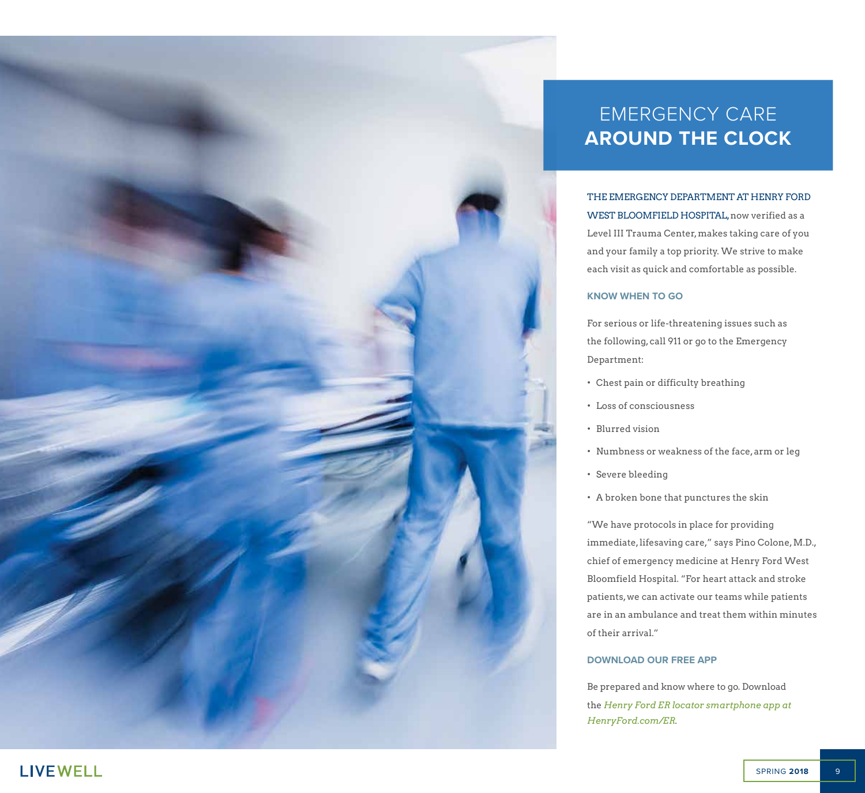

# EMERGENCY CARE **AROUND THE CLOCK**

THE EMERGENCY DEPARTMENT AT HENRY FORD WEST BLOOMFIELD HOSPITAL, now verified as a Level III Trauma Center, makes taking care of you and your family a top priority. We strive to make each visit as quick and comfortable as possible.

#### **KNOW WHEN TO GO**

For serious or life-threatening issues such as the following, call 911 or go to the Emergency Department:

- Chest pain or difficulty breathing
- Loss of consciousness
- Blurred vision
- Numbness or weakness of the face, arm or leg
- Severe bleeding
- A broken bone that punctures the skin

"We have protocols in place for providing immediate, lifesaving care," says Pino Colone, M.D., chief of emergency medicine at Henry Ford West Bloomfield Hospital. "For heart attack and stroke patients, we can activate our teams while patients are in an ambulance and treat them within minutes of their arrival."

#### **DOWNLOAD OUR FREE APP**

Be prepared and know where to go. Download the *Henry Ford ER locator smartphone app at HenryFord.com/ER.*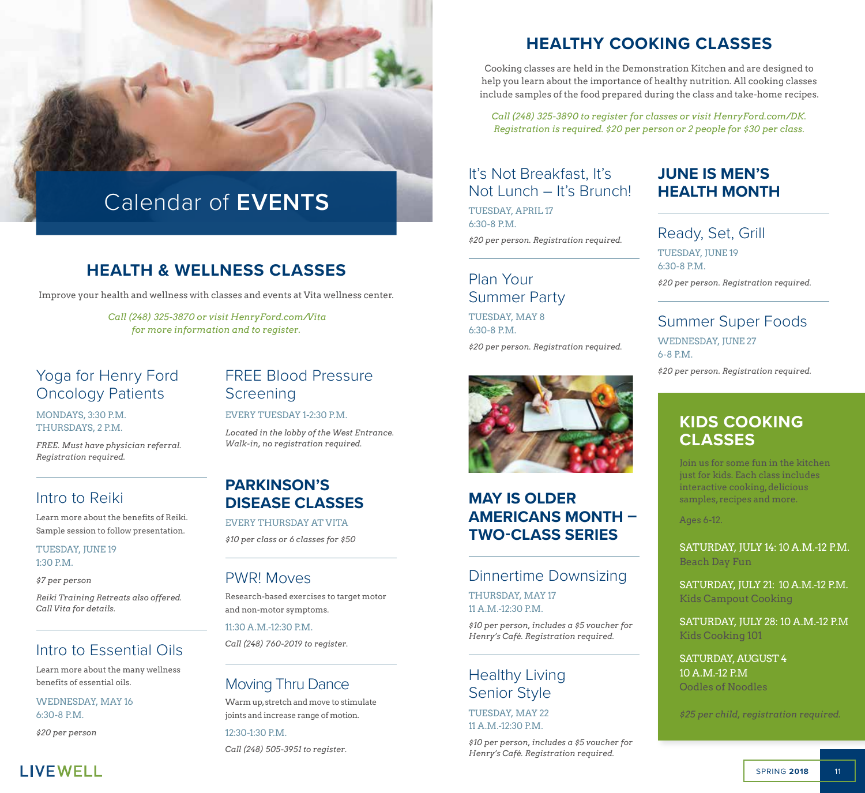

# Calendar of **EVENTS**

# **HEALTH & WELLNESS CLASSES**

Improve your health and wellness with classes and events at Vita wellness center.

*Call (248) 325-3870 or visit HenryFord.com/Vita for more information and to register.*

# Oncology Patients

MONDAYS, 3:30 P.M. THURSDAYS, 2 P.M.

*FREE. Must have physician referral. Registration required.* 

#### Intro to Reiki

Learn more about the benefits of Reiki. Sample session to follow presentation.

TUESDAY, JUNE 19 1:30 P.M.

*\$7 per person*

*Reiki Training Retreats also offered. Call Vita for details.*

#### Intro to Essential Oils

Learn more about the many wellness benefits of essential oils.

WEDNESDAY, MAY 16 6:30-8 P.M.

*\$20 per person*

**LIVEWELL** 

# FREE Blood Pressure Screening

#### EVERY TUESDAY 1-2:30 P.M.

*Located in the lobby of the West Entrance. Walk-in, no registration required.* 

#### **PARKINSON'S DISEASE CLASSES**

EVERY THURSDAY AT VITA *\$10 per class or 6 classes for \$50*

#### PWR! Moves

Research-based exercises to target motor and non-motor symptoms.

11:30 A.M.-12:30 P.M.

*Call (248) 760-2019 to register.*

#### Moving Thru Dance

Warm up, stretch and move to stimulate joints and increase range of motion.

12:30-1:30 P.M. *Call (248) 505-3951 to register.*

# **HEALTHY COOKING CLASSES**

Cooking classes are held in the Demonstration Kitchen and are designed to help you learn about the importance of healthy nutrition. All cooking classes include samples of the food prepared during the class and take-home recipes.

*Call (248) 325-3890 to register for classes or visit HenryFord.com/DK. Registration is required. \$20 per person or 2 people for \$30 per class.* 

#### It's Not Breakfast, It's Not Lunch – It's Brunch!

TUESDAY, APRIL 17 6:30-8 P.M. *\$20 per person. Registration required.*

# Plan Your Summer Party

TUESDAY, MAY 8 6:30-8 P.M.

*\$20 per person. Registration required.*



### **MAY IS OLDER AMERICANS MONTH – TWO-CLASS SERIES**

#### Dinnertime Downsizing

THURSDAY, MAY 17 11 A.M.-12:30 P.M.

*\$10 per person, includes a \$5 voucher for Henry's Café. Registration required.*

### Healthy Living Senior Style

TUESDAY, MAY 22 11 A.M.-12:30 P.M.

*\$10 per person, includes a \$5 voucher for Henry's Café. Registration required.*

### **JUNE IS MEN'S HEALTH MONTH**

Ready, Set, Grill TUESDAY, JUNE 19 6:30-8 P.M. *\$20 per person. Registration required.*

#### Summer Super Foods

WEDNESDAY, JUNE 27 6-8 P.M.

# **KIDS COOKING CLASSES**

Join us for some fun in the kitchen just for kids. Each class includes interactive cooking, delicious samples, recipes and more.

Ages 6-12.

SATURDAY, JULY 14: 10 A.M.-12 P.M. Beach Day Fun

SATURDAY, JULY 21: 10 A.M.-12 P.M. Kids Campout Cooking

SATURDAY, JULY 28: 10 A.M.-12 P.M Kids Cooking 101

SATURDAY, AUGUST 4 10 A.M.-12 P.M Oodles of Noodles

*\$25 per child, registration required.*